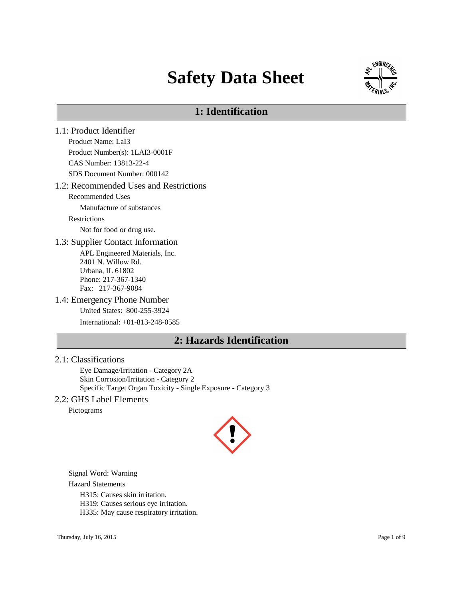# **Safety Data Sheet**



# **1: Identification**

1.1: Product Identifier Product Name: LaI3 Product Number(s): 1LAI3-0001F CAS Number: 13813-22-4 SDS Document Number: 000142 1.2: Recommended Uses and Restrictions Recommended Uses Manufacture of substances Restrictions Not for food or drug use. 1.3: Supplier Contact Information APL Engineered Materials, Inc. 2401 N. Willow Rd. Urbana, IL 61802 Phone: 217-367-1340 Fax: 217-367-9084 1.4: Emergency Phone Number United States: 800-255-3924 International: +01-813-248-0585 **2: Hazards Identification**

#### 2.1: Classifications

Eye Damage/Irritation - Category 2A Skin Corrosion/Irritation - Category 2 Specific Target Organ Toxicity - Single Exposure - Category 3

#### 2.2: GHS Label Elements

Pictograms



Signal Word: Warning

Hazard Statements

H315: Causes skin irritation.

H319: Causes serious eye irritation.

H335: May cause respiratory irritation.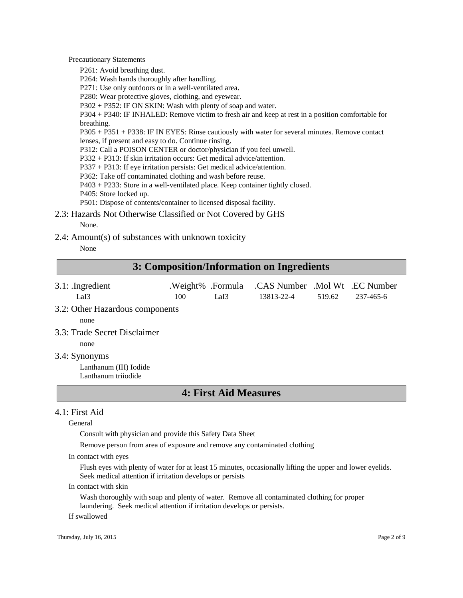Precautionary Statements

P261: Avoid breathing dust.

P264: Wash hands thoroughly after handling.

P271: Use only outdoors or in a well-ventilated area.

P280: Wear protective gloves, clothing, and eyewear.

P302 + P352: IF ON SKIN: Wash with plenty of soap and water.

P304 + P340: IF INHALED: Remove victim to fresh air and keep at rest in a position comfortable for breathing.

P305 + P351 + P338: IF IN EYES: Rinse cautiously with water for several minutes. Remove contact lenses, if present and easy to do. Continue rinsing.

P312: Call a POISON CENTER or doctor/physician if you feel unwell.

P332 + P313: If skin irritation occurs: Get medical advice/attention.

P337 + P313: If eye irritation persists: Get medical advice/attention.

P362: Take off contaminated clothing and wash before reuse.

P403 + P233: Store in a well-ventilated place. Keep container tightly closed.

P405: Store locked up.

P501: Dispose of contents/container to licensed disposal facility.

2.3: Hazards Not Otherwise Classified or Not Covered by GHS None.

2.4: Amount(s) of substances with unknown toxicity

None

### **3: Composition/Information on Ingredients**

- 3.1: .Ingredient .Weight% .Formula .CAS Number .Mol Wt .EC Number LaI3 100 LaI3 13813-22-4 519.62 237-465-6
- 3.2: Other Hazardous components

none

3.3: Trade Secret Disclaimer

none

3.4: Synonyms

Lanthanum (III) Iodide Lanthanum triiodide

### **4: First Aid Measures**

#### 4.1: First Aid

General

Consult with physician and provide this Safety Data Sheet

Remove person from area of exposure and remove any contaminated clothing

In contact with eyes

Flush eyes with plenty of water for at least 15 minutes, occasionally lifting the upper and lower eyelids. Seek medical attention if irritation develops or persists

#### In contact with skin

Wash thoroughly with soap and plenty of water. Remove all contaminated clothing for proper laundering. Seek medical attention if irritation develops or persists.

If swallowed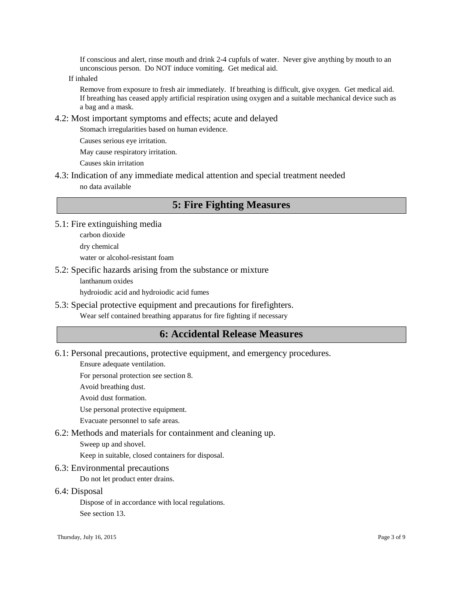If conscious and alert, rinse mouth and drink 2-4 cupfuls of water. Never give anything by mouth to an unconscious person. Do NOT induce vomiting. Get medical aid.

If inhaled

Remove from exposure to fresh air immediately. If breathing is difficult, give oxygen. Get medical aid. If breathing has ceased apply artificial respiration using oxygen and a suitable mechanical device such as a bag and a mask.

#### 4.2: Most important symptoms and effects; acute and delayed

Stomach irregularities based on human evidence.

Causes serious eye irritation.

May cause respiratory irritation.

Causes skin irritation

4.3: Indication of any immediate medical attention and special treatment needed no data available

## **5: Fire Fighting Measures**

- 5.1: Fire extinguishing media
	- carbon dioxide
	- dry chemical

water or alcohol-resistant foam

#### 5.2: Specific hazards arising from the substance or mixture

lanthanum oxides

hydroiodic acid and hydroiodic acid fumes

5.3: Special protective equipment and precautions for firefighters. Wear self contained breathing apparatus for fire fighting if necessary

### **6: Accidental Release Measures**

6.1: Personal precautions, protective equipment, and emergency procedures.

Ensure adequate ventilation.

For personal protection see section 8.

Avoid breathing dust.

Avoid dust formation.

Use personal protective equipment.

Evacuate personnel to safe areas.

6.2: Methods and materials for containment and cleaning up.

Sweep up and shovel.

Keep in suitable, closed containers for disposal.

6.3: Environmental precautions

Do not let product enter drains.

#### 6.4: Disposal

Dispose of in accordance with local regulations. See section 13.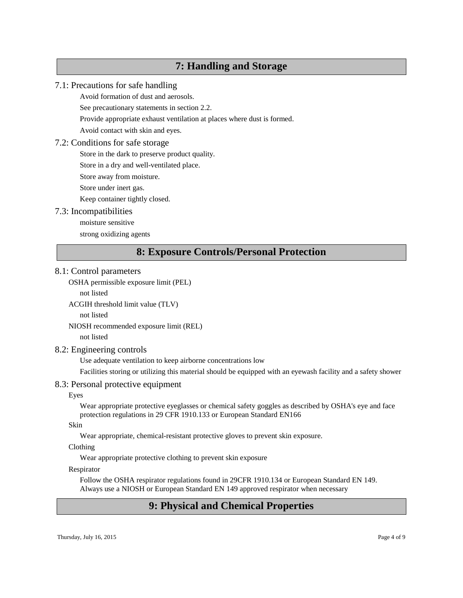### **7: Handling and Storage**

#### 7.1: Precautions for safe handling

Avoid formation of dust and aerosols.

See precautionary statements in section 2.2.

Provide appropriate exhaust ventilation at places where dust is formed.

Avoid contact with skin and eyes.

### 7.2: Conditions for safe storage

Store in the dark to preserve product quality.

Store in a dry and well-ventilated place.

Store away from moisture.

Store under inert gas.

Keep container tightly closed.

### 7.3: Incompatibilities

moisture sensitive

strong oxidizing agents

# **8: Exposure Controls/Personal Protection**

#### 8.1: Control parameters

OSHA permissible exposure limit (PEL)

not listed

ACGIH threshold limit value (TLV)

not listed

NIOSH recommended exposure limit (REL)

not listed

#### 8.2: Engineering controls

Use adequate ventilation to keep airborne concentrations low

Facilities storing or utilizing this material should be equipped with an eyewash facility and a safety shower

#### 8.3: Personal protective equipment

#### Eyes

Wear appropriate protective eyeglasses or chemical safety goggles as described by OSHA's eye and face protection regulations in 29 CFR 1910.133 or European Standard EN166

#### Skin

Wear appropriate, chemical-resistant protective gloves to prevent skin exposure.

### Clothing

Wear appropriate protective clothing to prevent skin exposure

### Respirator

Follow the OSHA respirator regulations found in 29CFR 1910.134 or European Standard EN 149. Always use a NIOSH or European Standard EN 149 approved respirator when necessary

# **9: Physical and Chemical Properties**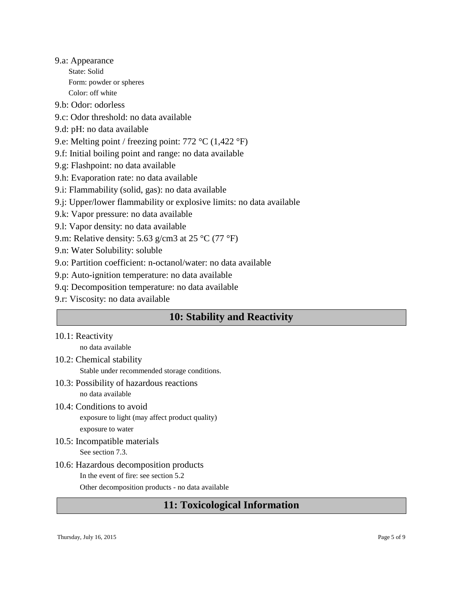9.a: Appearance State: Solid Form: powder or spheres Color: off white

9.b: Odor: odorless

- 9.c: Odor threshold: no data available
- 9.d: pH: no data available
- 9.e: Melting point / freezing point: 772 °C (1,422 °F)
- 9.f: Initial boiling point and range: no data available
- 9.g: Flashpoint: no data available
- 9.h: Evaporation rate: no data available
- 9.i: Flammability (solid, gas): no data available
- 9.j: Upper/lower flammability or explosive limits: no data available
- 9.k: Vapor pressure: no data available
- 9.l: Vapor density: no data available
- 9.m: Relative density: 5.63 g/cm3 at 25  $^{\circ}$ C (77  $^{\circ}$ F)
- 9.n: Water Solubility: soluble
- 9.o: Partition coefficient: n-octanol/water: no data available
- 9.p: Auto-ignition temperature: no data available
- 9.q: Decomposition temperature: no data available
- 9.r: Viscosity: no data available

# **10: Stability and Reactivity**

10.1: Reactivity

no data available

- 10.2: Chemical stability
	- Stable under recommended storage conditions.
- 10.3: Possibility of hazardous reactions no data available
- 10.4: Conditions to avoid exposure to light (may affect product quality) exposure to water
- 10.5: Incompatible materials See section 7.3.
- 10.6: Hazardous decomposition products In the event of fire: see section 5.2 Other decomposition products - no data available

### **11: Toxicological Information**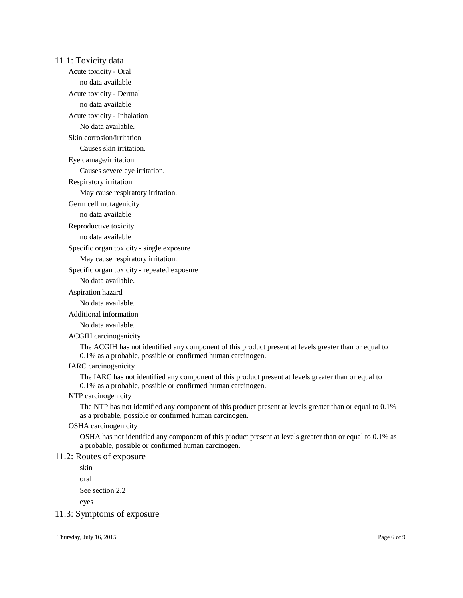11.1: Toxicity data

Acute toxicity - Oral

no data available

Acute toxicity - Dermal

no data available

Acute toxicity - Inhalation

No data available.

Skin corrosion/irritation

Causes skin irritation.

Eye damage/irritation

Causes severe eye irritation.

Respiratory irritation

May cause respiratory irritation.

Germ cell mutagenicity

no data available

Reproductive toxicity

no data available

Specific organ toxicity - single exposure

May cause respiratory irritation.

Specific organ toxicity - repeated exposure

No data available.

#### Aspiration hazard

No data available.

Additional information

No data available.

#### ACGIH carcinogenicity

The ACGIH has not identified any component of this product present at levels greater than or equal to 0.1% as a probable, possible or confirmed human carcinogen.

IARC carcinogenicity

The IARC has not identified any component of this product present at levels greater than or equal to 0.1% as a probable, possible or confirmed human carcinogen.

#### NTP carcinogenicity

The NTP has not identified any component of this product present at levels greater than or equal to 0.1% as a probable, possible or confirmed human carcinogen.

#### OSHA carcinogenicity

OSHA has not identified any component of this product present at levels greater than or equal to 0.1% as a probable, possible or confirmed human carcinogen.

#### 11.2: Routes of exposure

skin

oral

See section 2.2

eyes

#### 11.3: Symptoms of exposure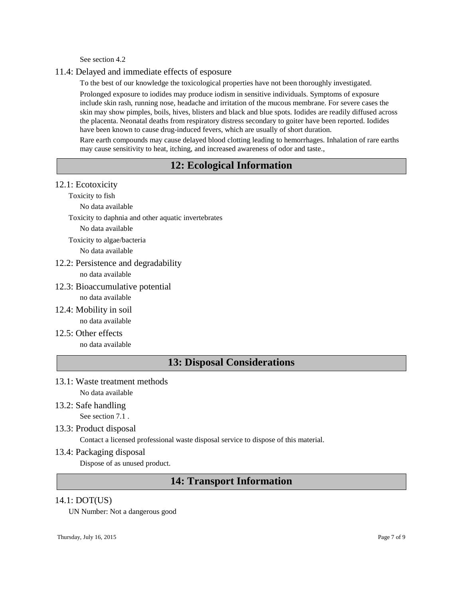See section 4.2

#### 11.4: Delayed and immediate effects of esposure

To the best of our knowledge the toxicological properties have not been thoroughly investigated.

Prolonged exposure to iodides may produce iodism in sensitive individuals. Symptoms of exposure include skin rash, running nose, headache and irritation of the mucous membrane. For severe cases the skin may show pimples, boils, hives, blisters and black and blue spots. Iodides are readily diffused across the placenta. Neonatal deaths from respiratory distress secondary to goiter have been reported. Iodides have been known to cause drug-induced fevers, which are usually of short duration.

Rare earth compounds may cause delayed blood clotting leading to hemorrhages. Inhalation of rare earths may cause sensitivity to heat, itching, and increased awareness of odor and taste.,

# **12: Ecological Information**

12.1: Ecotoxicity

Toxicity to fish

No data available

Toxicity to daphnia and other aquatic invertebrates

No data available

Toxicity to algae/bacteria

No data available

12.2: Persistence and degradability

no data available

12.3: Bioaccumulative potential

no data available

- 12.4: Mobility in soil no data available
- 12.5: Other effects no data available

# **13: Disposal Considerations**

- 13.1: Waste treatment methods No data available
- 13.2: Safe handling

See section 7.1 .

13.3: Product disposal

Contact a licensed professional waste disposal service to dispose of this material.

13.4: Packaging disposal

Dispose of as unused product.

# **14: Transport Information**

#### 14.1: DOT(US)

UN Number: Not a dangerous good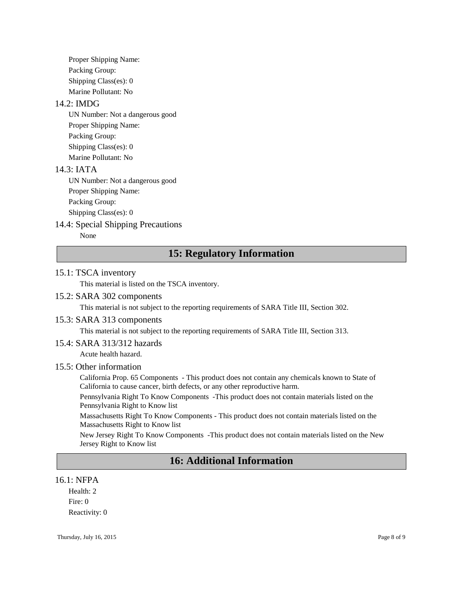Proper Shipping Name: Packing Group: Shipping Class(es): 0 Marine Pollutant: No

#### 14.2: IMDG

UN Number: Not a dangerous good Proper Shipping Name: Packing Group: Shipping Class(es): 0 Marine Pollutant: No

#### 14.3: IATA

UN Number: Not a dangerous good Proper Shipping Name: Packing Group: Shipping Class(es): 0

### 14.4: Special Shipping Precautions

None

# **15: Regulatory Information**

#### 15.1: TSCA inventory

This material is listed on the TSCA inventory.

#### 15.2: SARA 302 components

This material is not subject to the reporting requirements of SARA Title III, Section 302.

#### 15.3: SARA 313 components

This material is not subject to the reporting requirements of SARA Title III, Section 313.

#### 15.4: SARA 313/312 hazards

Acute health hazard.

#### 15.5: Other information

California Prop. 65 Components - This product does not contain any chemicals known to State of California to cause cancer, birth defects, or any other reproductive harm.

Pennsylvania Right To Know Components -This product does not contain materials listed on the Pennsylvania Right to Know list

Massachusetts Right To Know Components - This product does not contain materials listed on the Massachusetts Right to Know list

New Jersey Right To Know Components -This product does not contain materials listed on the New Jersey Right to Know list

# **16: Additional Information**

#### 16.1: NFPA

Health: 2 Fire: 0 Reactivity: 0